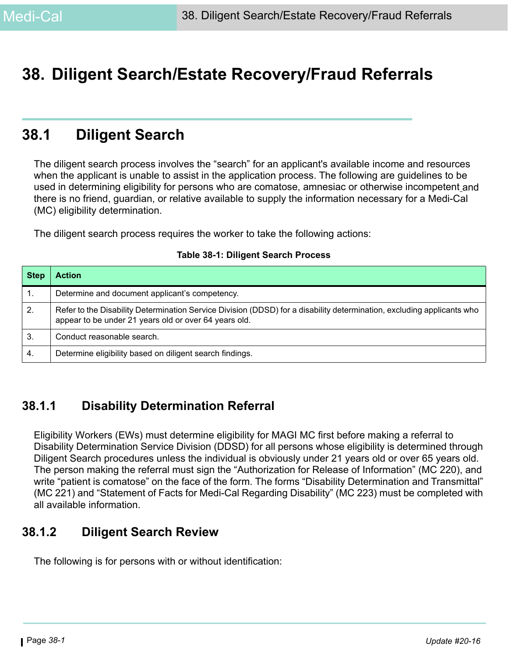# **38. Diligent Search/Estate Recovery/Fraud Referrals**

# **38.1 Diligent Search**

The diligent search process involves the "search" for an applicant's available income and resources when the applicant is unable to assist in the application process. The following are guidelines to be used in determining eligibility for persons who are comatose, amnesiac or otherwise incompetent and there is no friend, guardian, or relative available to supply the information necessary for a Medi-Cal (MC) eligibility determination.

The diligent search process requires the worker to take the following actions:

| <b>Step</b> | <b>Action</b>                                                                                                                                                                   |
|-------------|---------------------------------------------------------------------------------------------------------------------------------------------------------------------------------|
|             | Determine and document applicant's competency.                                                                                                                                  |
| 2.          | Refer to the Disability Determination Service Division (DDSD) for a disability determination, excluding applicants who<br>appear to be under 21 years old or over 64 years old. |
| 3.          | Conduct reasonable search.                                                                                                                                                      |
| 4.          | Determine eligibility based on diligent search findings.                                                                                                                        |

#### **Table 38-1: Diligent Search Process**

## **38.1.1 Disability Determination Referral**

Eligibility Workers (EWs) must determine eligibility for MAGI MC first before making a referral to Disability Determination Service Division (DDSD) for all persons whose eligibility is determined through Diligent Search procedures unless the individual is obviously under 21 years old or over 65 years old. The person making the referral must sign the "Authorization for Release of Information" (MC 220), and write "patient is comatose" on the face of the form. The forms "Disability Determination and Transmittal" (MC 221) and "Statement of Facts for Medi-Cal Regarding Disability" (MC 223) must be completed with all available information.

## **38.1.2 Diligent Search Review**

The following is for persons with or without identification: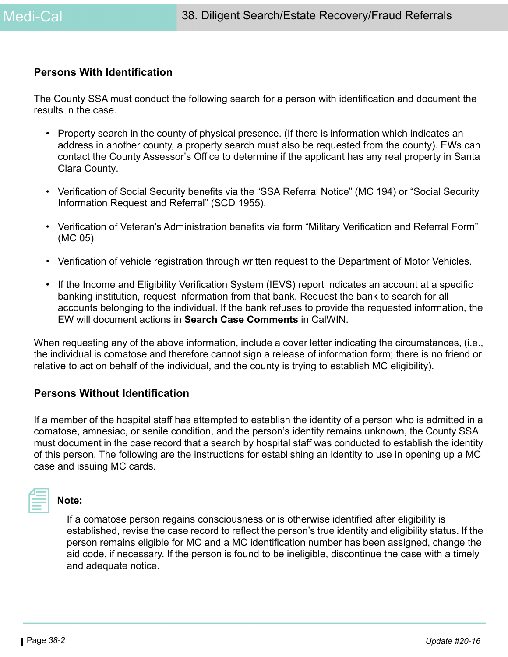#### **Persons With Identification**

The County SSA must conduct the following search for a person with identification and document the results in the case.

- Property search in the county of physical presence. (If there is information which indicates an address in another county, a property search must also be requested from the county). EWs can contact the County Assessor's Office to determine if the applicant has any real property in Santa Clara County.
- Verification of Social Security benefits via the "SSA Referral Notice" (MC 194) or "Social Security Information Request and Referral" (SCD 1955).
- Verification of Veteran's Administration benefits via form "Military Verification and Referral Form" (MC 05).
- Verification of vehicle registration through written request to the Department of Motor Vehicles.
- If the Income and Eligibility Verification System (IEVS) report indicates an account at a specific banking institution, request information from that bank. Request the bank to search for all accounts belonging to the individual. If the bank refuses to provide the requested information, the EW will document actions in **Search Case Comments** in CalWIN.

When requesting any of the above information, include a cover letter indicating the circumstances, (i.e., the individual is comatose and therefore cannot sign a release of information form; there is no friend or relative to act on behalf of the individual, and the county is trying to establish MC eligibility).

#### **Persons Without Identification**

If a member of the hospital staff has attempted to establish the identity of a person who is admitted in a comatose, amnesiac, or senile condition, and the person's identity remains unknown, the County SSA must document in the case record that a search by hospital staff was conducted to establish the identity of this person. The following are the instructions for establishing an identity to use in opening up a MC case and issuing MC cards.



#### **Note:**

If a comatose person regains consciousness or is otherwise identified after eligibility is established, revise the case record to reflect the person's true identity and eligibility status. If the person remains eligible for MC and a MC identification number has been assigned, change the aid code, if necessary. If the person is found to be ineligible, discontinue the case with a timely and adequate notice.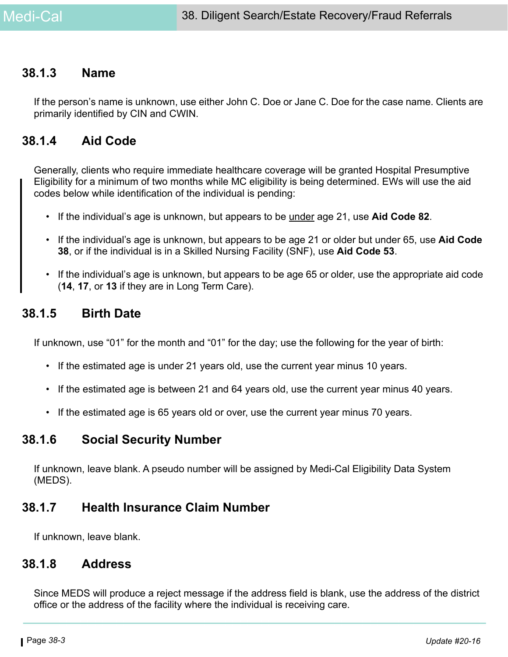## **38.1.3 Name**

If the person's name is unknown, use either John C. Doe or Jane C. Doe for the case name. Clients are primarily identified by CIN and CWIN.

## **38.1.4 Aid Code**

Generally, clients who require immediate healthcare coverage will be granted Hospital Presumptive Eligibility for a minimum of two months while MC eligibility is being determined. EWs will use the aid codes below while identification of the individual is pending:

- If the individual's age is unknown, but appears to be under age 21, use **Aid Code 82**.
- If the individual's age is unknown, but appears to be age 21 or older but under 65, use **Aid Code 38**, or if the individual is in a Skilled Nursing Facility (SNF), use **Aid Code 53**.
- If the individual's age is unknown, but appears to be age 65 or older, use the appropriate aid code (**14**, **17**, or **13** if they are in Long Term Care).

## **38.1.5 Birth Date**

If unknown, use "01" for the month and "01" for the day; use the following for the year of birth:

- If the estimated age is under 21 years old, use the current year minus 10 years.
- If the estimated age is between 21 and 64 years old, use the current year minus 40 years.
- If the estimated age is 65 years old or over, use the current year minus 70 years.

## **38.1.6 Social Security Number**

If unknown, leave blank. A pseudo number will be assigned by Medi-Cal Eligibility Data System (MEDS).

## **38.1.7 Health Insurance Claim Number**

If unknown, leave blank.

## **38.1.8 Address**

Since MEDS will produce a reject message if the address field is blank, use the address of the district office or the address of the facility where the individual is receiving care.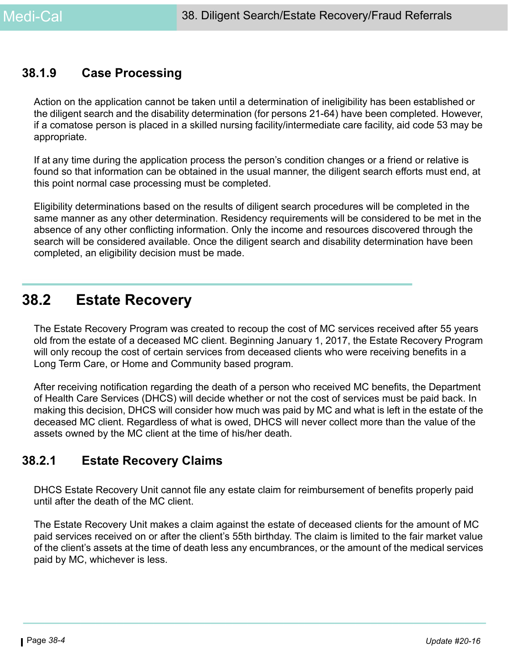## **38.1.9 Case Processing**

Action on the application cannot be taken until a determination of ineligibility has been established or the diligent search and the disability determination (for persons 21-64) have been completed. However, if a comatose person is placed in a skilled nursing facility/intermediate care facility, aid code 53 may be appropriate.

If at any time during the application process the person's condition changes or a friend or relative is found so that information can be obtained in the usual manner, the diligent search efforts must end, at this point normal case processing must be completed.

Eligibility determinations based on the results of diligent search procedures will be completed in the same manner as any other determination. Residency requirements will be considered to be met in the absence of any other conflicting information. Only the income and resources discovered through the search will be considered available. Once the diligent search and disability determination have been completed, an eligibility decision must be made.

## **38.2 Estate Recovery**

The Estate Recovery Program was created to recoup the cost of MC services received after 55 years old from the estate of a deceased MC client. Beginning January 1, 2017, the Estate Recovery Program will only recoup the cost of certain services from deceased clients who were receiving benefits in a Long Term Care, or Home and Community based program.

After receiving notification regarding the death of a person who received MC benefits, the Department of Health Care Services (DHCS) will decide whether or not the cost of services must be paid back. In making this decision, DHCS will consider how much was paid by MC and what is left in the estate of the deceased MC client. Regardless of what is owed, DHCS will never collect more than the value of the assets owned by the MC client at the time of his/her death.

## **38.2.1 Estate Recovery Claims**

DHCS Estate Recovery Unit cannot file any estate claim for reimbursement of benefits properly paid until after the death of the MC client.

The Estate Recovery Unit makes a claim against the estate of deceased clients for the amount of MC paid services received on or after the client's 55th birthday. The claim is limited to the fair market value of the client's assets at the time of death less any encumbrances, or the amount of the medical services paid by MC, whichever is less.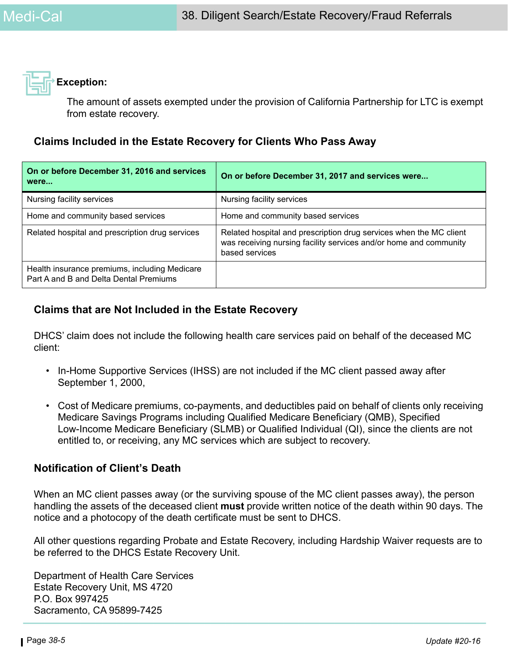

The amount of assets exempted under the provision of California Partnership for LTC is exempt from estate recovery.

## **Claims Included in the Estate Recovery for Clients Who Pass Away**

| On or before December 31, 2016 and services<br>were                                     | On or before December 31, 2017 and services were                                                                                                          |
|-----------------------------------------------------------------------------------------|-----------------------------------------------------------------------------------------------------------------------------------------------------------|
| Nursing facility services                                                               | Nursing facility services                                                                                                                                 |
| Home and community based services                                                       | Home and community based services                                                                                                                         |
| Related hospital and prescription drug services                                         | Related hospital and prescription drug services when the MC client<br>was receiving nursing facility services and/or home and community<br>based services |
| Health insurance premiums, including Medicare<br>Part A and B and Delta Dental Premiums |                                                                                                                                                           |

## **Claims that are Not Included in the Estate Recovery**

DHCS' claim does not include the following health care services paid on behalf of the deceased MC client:

- In-Home Supportive Services (IHSS) are not included if the MC client passed away after September 1, 2000,
- Cost of Medicare premiums, co-payments, and deductibles paid on behalf of clients only receiving Medicare Savings Programs including Qualified Medicare Beneficiary (QMB), Specified Low-Income Medicare Beneficiary (SLMB) or Qualified Individual (QI), since the clients are not entitled to, or receiving, any MC services which are subject to recovery.

## **Notification of Client's Death**

When an MC client passes away (or the surviving spouse of the MC client passes away), the person handling the assets of the deceased client **must** provide written notice of the death within 90 days. The notice and a photocopy of the death certificate must be sent to DHCS.

All other questions regarding Probate and Estate Recovery, including Hardship Waiver requests are to be referred to the DHCS Estate Recovery Unit.

Department of Health Care Services Estate Recovery Unit, MS 4720 P.O. Box 997425 Sacramento, CA 95899-7425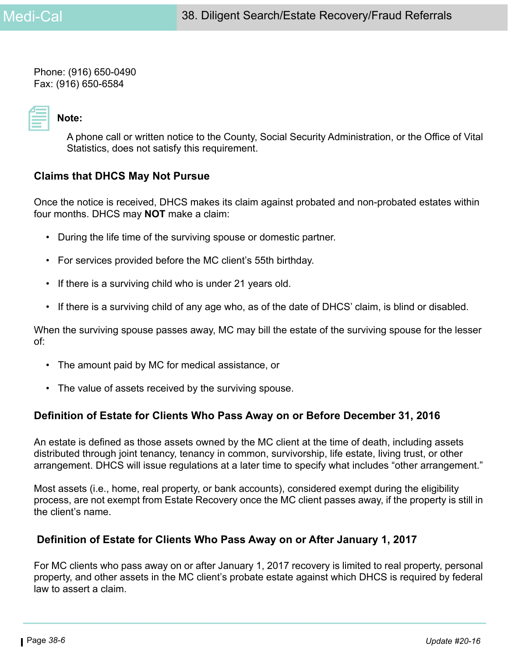Phone: (916) 650-0490 Fax: (916) 650-6584

# **Note:**

A phone call or written notice to the County, Social Security Administration, or the Office of Vital Statistics, does not satisfy this requirement.

## **Claims that DHCS May Not Pursue**

Once the notice is received, DHCS makes its claim against probated and non-probated estates within four months. DHCS may **NOT** make a claim:

- During the life time of the surviving spouse or domestic partner.
- For services provided before the MC client's 55th birthday.
- If there is a surviving child who is under 21 years old.
- If there is a surviving child of any age who, as of the date of DHCS' claim, is blind or disabled.

When the surviving spouse passes away, MC may bill the estate of the surviving spouse for the lesser of:

- The amount paid by MC for medical assistance, or
- The value of assets received by the surviving spouse.

## **Definition of Estate for Clients Who Pass Away on or Before December 31, 2016**

An estate is defined as those assets owned by the MC client at the time of death, including assets distributed through joint tenancy, tenancy in common, survivorship, life estate, living trust, or other arrangement. DHCS will issue regulations at a later time to specify what includes "other arrangement."

Most assets (i.e., home, real property, or bank accounts), considered exempt during the eligibility process, are not exempt from Estate Recovery once the MC client passes away, if the property is still in the client's name.

## **Definition of Estate for Clients Who Pass Away on or After January 1, 2017**

For MC clients who pass away on or after January 1, 2017 recovery is limited to real property, personal property, and other assets in the MC client's probate estate against which DHCS is required by federal law to assert a claim.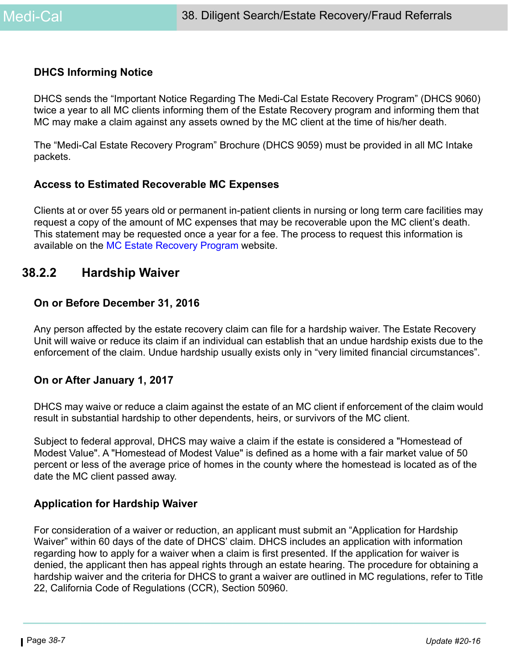#### **DHCS Informing Notice**

DHCS sends the "Important Notice Regarding The Medi-Cal Estate Recovery Program" (DHCS 9060) twice a year to all MC clients informing them of the Estate Recovery program and informing them that MC may make a claim against any assets owned by the MC client at the time of his/her death.

The "Medi-Cal Estate Recovery Program" Brochure (DHCS 9059) must be provided in all MC Intake packets.

## **Access to Estimated Recoverable MC Expenses**

Clients at or over 55 years old or permanent in-patient clients in nursing or long term care facilities may request a copy of the amount of MC expenses that may be recoverable upon the MC client's death. This statement may be requested once a year for a fee. The process to request this information is available on the [MC Estate Recovery Program w](http://www.dhcs.ca.gov/services/Pages/TPLRD_ER_cont.aspx)ebsite.

## **38.2.2 Hardship Waiver**

#### **On or Before December 31, 2016**

Any person affected by the estate recovery claim can file for a hardship waiver. The Estate Recovery Unit will waive or reduce its claim if an individual can establish that an undue hardship exists due to the enforcement of the claim. Undue hardship usually exists only in "very limited financial circumstances".

## **On or After January 1, 2017**

DHCS may waive or reduce a claim against the estate of an MC client if enforcement of the claim would result in substantial hardship to other dependents, heirs, or survivors of the MC client.

Subject to federal approval, DHCS may waive a claim if the estate is considered a "Homestead of Modest Value". A "Homestead of Modest Value" is defined as a home with a fair market value of 50 percent or less of the average price of homes in the county where the homestead is located as of the date the MC client passed away.

## **Application for Hardship Waiver**

For consideration of a waiver or reduction, an applicant must submit an "Application for Hardship Waiver" within 60 days of the date of DHCS' claim. DHCS includes an application with information regarding how to apply for a waiver when a claim is first presented. If the application for waiver is denied, the applicant then has appeal rights through an estate hearing. The procedure for obtaining a hardship waiver and the criteria for DHCS to grant a waiver are outlined in MC regulations, refer to Title 22, California Code of Regulations (CCR), Section 50960.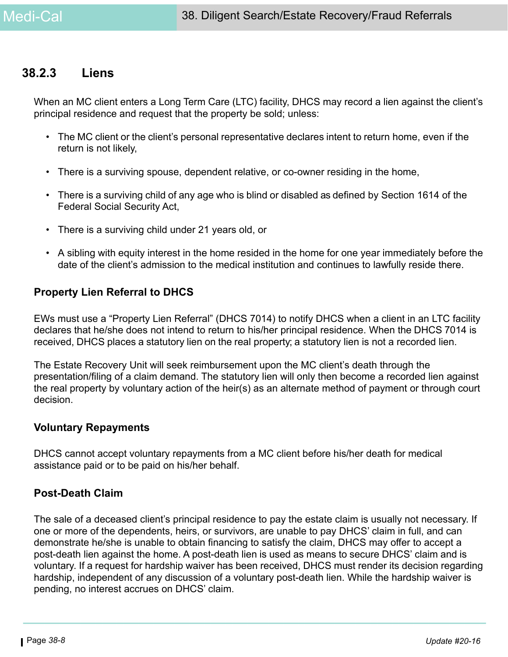## **38.2.3 Liens**

When an MC client enters a Long Term Care (LTC) facility, DHCS may record a lien against the client's principal residence and request that the property be sold; unless:

- The MC client or the client's personal representative declares intent to return home, even if the return is not likely,
- There is a surviving spouse, dependent relative, or co-owner residing in the home,
- There is a surviving child of any age who is blind or disabled as defined by Section 1614 of the Federal Social Security Act,
- There is a surviving child under 21 years old, or
- A sibling with equity interest in the home resided in the home for one year immediately before the date of the client's admission to the medical institution and continues to lawfully reside there.

## **Property Lien Referral to DHCS**

EWs must use a "Property Lien Referral" (DHCS 7014) to notify DHCS when a client in an LTC facility declares that he/she does not intend to return to his/her principal residence. When the DHCS 7014 is received, DHCS places a statutory lien on the real property; a statutory lien is not a recorded lien.

The Estate Recovery Unit will seek reimbursement upon the MC client's death through the presentation/filing of a claim demand. The statutory lien will only then become a recorded lien against the real property by voluntary action of the heir(s) as an alternate method of payment or through court decision.

#### **Voluntary Repayments**

DHCS cannot accept voluntary repayments from a MC client before his/her death for medical assistance paid or to be paid on his/her behalf.

## **Post-Death Claim**

The sale of a deceased client's principal residence to pay the estate claim is usually not necessary. If one or more of the dependents, heirs, or survivors, are unable to pay DHCS' claim in full, and can demonstrate he/she is unable to obtain financing to satisfy the claim, DHCS may offer to accept a post-death lien against the home. A post-death lien is used as means to secure DHCS' claim and is voluntary. If a request for hardship waiver has been received, DHCS must render its decision regarding hardship, independent of any discussion of a voluntary post-death lien. While the hardship waiver is pending, no interest accrues on DHCS' claim.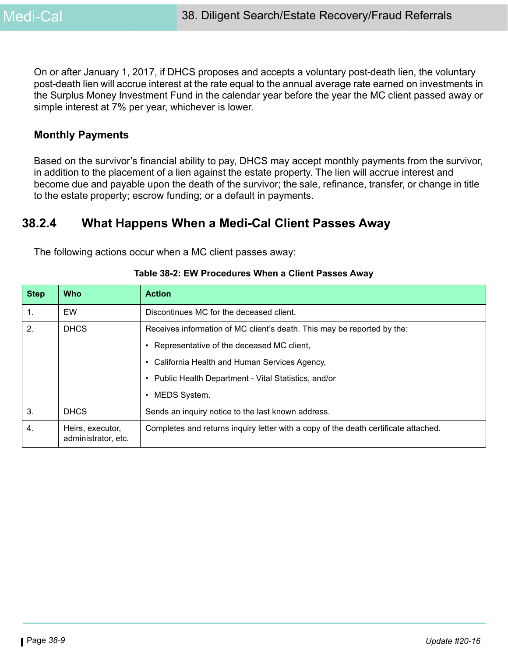On or after January 1, 2017, if DHCS proposes and accepts a voluntary post-death lien, the voluntary post-death lien will accrue interest at the rate equal to the annual average rate earned on investments in the Surplus Money Investment Fund in the calendar year before the year the MC client passed away or simple interest at 7% per year, whichever is lower.

#### **Monthly Payments**

Based on the survivor's financial ability to pay, DHCS may accept monthly payments from the survivor, in addition to the placement of a lien against the estate property. The lien will accrue interest and become due and payable upon the death of the survivor; the sale, refinance, transfer, or change in title to the estate property; escrow funding; or a default in payments.

## **38.2.4 What Happens When a Medi-Cal Client Passes Away**

The following actions occur when a MC client passes away:

| <b>Step</b>      | <b>Who</b>                              | <b>Action</b>                                                                       |
|------------------|-----------------------------------------|-------------------------------------------------------------------------------------|
| $\mathbf{1}$ .   | EW                                      | Discontinues MC for the deceased client.                                            |
| 2.               | <b>DHCS</b>                             | Receives information of MC client's death. This may be reported by the:             |
|                  |                                         | Representative of the deceased MC client,                                           |
|                  |                                         | California Health and Human Services Agency,<br>٠                                   |
|                  |                                         | Public Health Department - Vital Statistics, and/or<br>$\bullet$                    |
|                  |                                         | MEDS System.<br>$\bullet$                                                           |
| 3.               | <b>DHCS</b>                             | Sends an inquiry notice to the last known address.                                  |
| $\overline{4}$ . | Heirs, executor,<br>administrator, etc. | Completes and returns inquiry letter with a copy of the death certificate attached. |

#### **Table 38-2: EW Procedures When a Client Passes Away**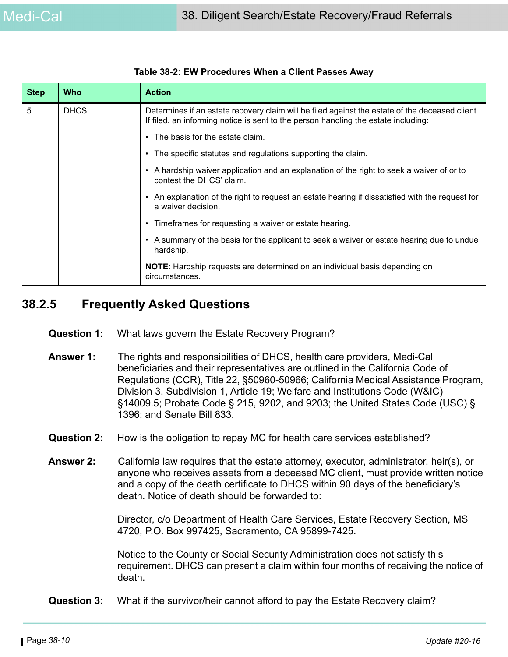| <b>Step</b> | <b>Who</b>  | <b>Action</b>                                                                                                                                                                         |
|-------------|-------------|---------------------------------------------------------------------------------------------------------------------------------------------------------------------------------------|
| 5.          | <b>DHCS</b> | Determines if an estate recovery claim will be filed against the estate of the deceased client.<br>If filed, an informing notice is sent to the person handling the estate including: |
|             |             | The basis for the estate claim.                                                                                                                                                       |
|             |             | The specific statutes and regulations supporting the claim.<br>$\bullet$                                                                                                              |
|             |             | A hardship waiver application and an explanation of the right to seek a waiver of or to<br>$\bullet$<br>contest the DHCS' claim.                                                      |
|             |             | An explanation of the right to request an estate hearing if dissatisfied with the request for<br>a waiver decision.                                                                   |
|             |             | Timeframes for requesting a waiver or estate hearing.<br>$\bullet$                                                                                                                    |
|             |             | A summary of the basis for the applicant to seek a waiver or estate hearing due to undue<br>$\bullet$<br>hardship.                                                                    |
|             |             | <b>NOTE:</b> Hardship requests are determined on an individual basis depending on<br>circumstances.                                                                                   |

#### **Table 38-2: EW Procedures When a Client Passes Away**

## **38.2.5 Frequently Asked Questions**

- **Question 1:** What laws govern the Estate Recovery Program?
- **Answer 1:** The rights and responsibilities of DHCS, health care providers, Medi-Cal beneficiaries and their representatives are outlined in the California Code of Regulations (CCR), Title 22, §50960-50966; California Medical Assistance Program, Division 3, Subdivision 1, Article 19; Welfare and Institutions Code (W&IC) §14009.5; Probate Code § 215, 9202, and 9203; the United States Code (USC) § 1396; and Senate Bill 833.
- **Question 2:** How is the obligation to repay MC for health care services established?
- **Answer 2:** California law requires that the estate attorney, executor, administrator, heir(s), or anyone who receives assets from a deceased MC client, must provide written notice and a copy of the death certificate to DHCS within 90 days of the beneficiary's death. Notice of death should be forwarded to:

Director, c/o Department of Health Care Services, Estate Recovery Section, MS 4720, P.O. Box 997425, Sacramento, CA 95899-7425.

Notice to the County or Social Security Administration does not satisfy this requirement. DHCS can present a claim within four months of receiving the notice of death.

 **Question 3:** What if the survivor/heir cannot afford to pay the Estate Recovery claim?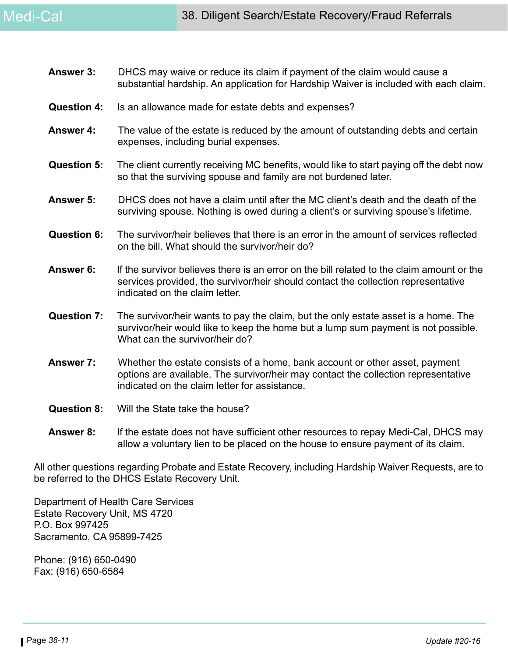- **Answer 3:** DHCS may waive or reduce its claim if payment of the claim would cause a substantial hardship. An application for Hardship Waiver is included with each claim.
- **Question 4:** Is an allowance made for estate debts and expenses?
- **Answer 4:** The value of the estate is reduced by the amount of outstanding debts and certain expenses, including burial expenses.
- **Question 5:** The client currently receiving MC benefits, would like to start paying off the debt now so that the surviving spouse and family are not burdened later.
- **Answer 5:** DHCS does not have a claim until after the MC client's death and the death of the surviving spouse. Nothing is owed during a client's or surviving spouse's lifetime.
- **Question 6:** The survivor/heir believes that there is an error in the amount of services reflected on the bill. What should the survivor/heir do?
- **Answer 6:** If the survivor believes there is an error on the bill related to the claim amount or the services provided, the survivor/heir should contact the collection representative indicated on the claim letter.
- **Question 7:** The survivor/heir wants to pay the claim, but the only estate asset is a home. The survivor/heir would like to keep the home but a lump sum payment is not possible. What can the survivor/heir do?
- **Answer 7:** Whether the estate consists of a home, bank account or other asset, payment options are available. The survivor/heir may contact the collection representative indicated on the claim letter for assistance.
- **Question 8:** Will the State take the house?
- **Answer 8:** If the estate does not have sufficient other resources to repay Medi-Cal, DHCS may allow a voluntary lien to be placed on the house to ensure payment of its claim.

All other questions regarding Probate and Estate Recovery, including Hardship Waiver Requests, are to be referred to the DHCS Estate Recovery Unit.

Department of Health Care Services Estate Recovery Unit, MS 4720 P.O. Box 997425 Sacramento, CA 95899-7425

Phone: (916) 650-0490 Fax: (916) 650-6584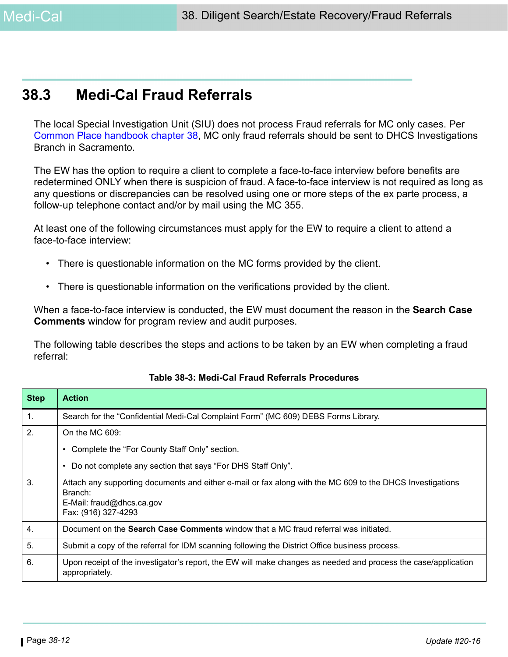## **38.3 Medi-Cal Fraud Referrals**

The local Special Investigation Unit (SIU) does not process Fraud referrals for MC only cases. Per [Common Place handbook chapter 38,](http://intranet.ssa.co.santa-clara.ca.us/calwin/handbooks/cp/cpchap38.pdf) MC only fraud referrals should be sent to DHCS Investigations Branch in Sacramento.

The EW has the option to require a client to complete a face-to-face interview before benefits are redetermined ONLY when there is suspicion of fraud. A face-to-face interview is not required as long as any questions or discrepancies can be resolved using one or more steps of the ex parte process, a follow-up telephone contact and/or by mail using the MC 355.

At least one of the following circumstances must apply for the EW to require a client to attend a face-to-face interview:

- There is questionable information on the MC forms provided by the client.
- There is questionable information on the verifications provided by the client.

When a face-to-face interview is conducted, the EW must document the reason in the **Search Case Comments** window for program review and audit purposes.

The following table describes the steps and actions to be taken by an EW when completing a fraud referral:

| <b>Step</b> | <b>Action</b>                                                                                                                                                            |
|-------------|--------------------------------------------------------------------------------------------------------------------------------------------------------------------------|
| 1.          | Search for the "Confidential Medi-Cal Complaint Form" (MC 609) DEBS Forms Library.                                                                                       |
| 2.          | On the MC $609$ :                                                                                                                                                        |
|             | Complete the "For County Staff Only" section.                                                                                                                            |
|             | Do not complete any section that says "For DHS Staff Only".                                                                                                              |
| 3.          | Attach any supporting documents and either e-mail or fax along with the MC 609 to the DHCS Investigations<br>Branch:<br>E-Mail: fraud@dhcs.ca.gov<br>Fax: (916) 327-4293 |
| 4.          | Document on the <b>Search Case Comments</b> window that a MC fraud referral was initiated.                                                                               |
| 5.          | Submit a copy of the referral for IDM scanning following the District Office business process.                                                                           |
| 6.          | Upon receipt of the investigator's report, the EW will make changes as needed and process the case/application<br>appropriately.                                         |

#### **Table 38-3: Medi-Cal Fraud Referrals Procedures**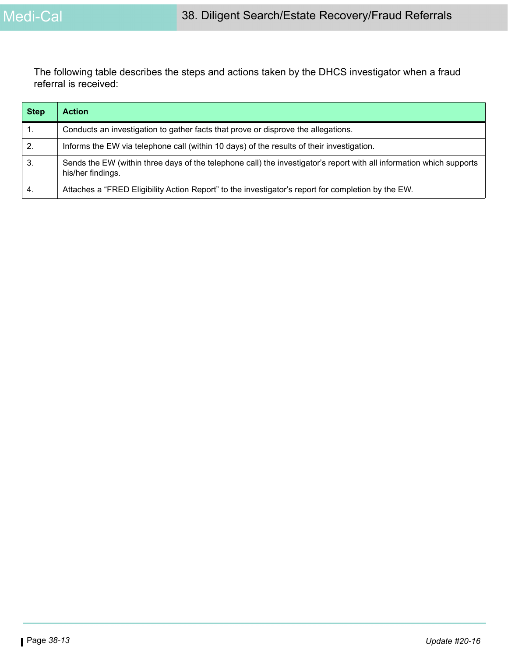The following table describes the steps and actions taken by the DHCS investigator when a fraud referral is received:

| <b>Step</b> | <b>Action</b>                                                                                                                             |
|-------------|-------------------------------------------------------------------------------------------------------------------------------------------|
| 1.          | Conducts an investigation to gather facts that prove or disprove the allegations.                                                         |
| 2.          | Informs the EW via telephone call (within 10 days) of the results of their investigation.                                                 |
| 3.          | Sends the EW (within three days of the telephone call) the investigator's report with all information which supports<br>his/her findings. |
| 4.          | Attaches a "FRED Eligibility Action Report" to the investigator's report for completion by the EW.                                        |